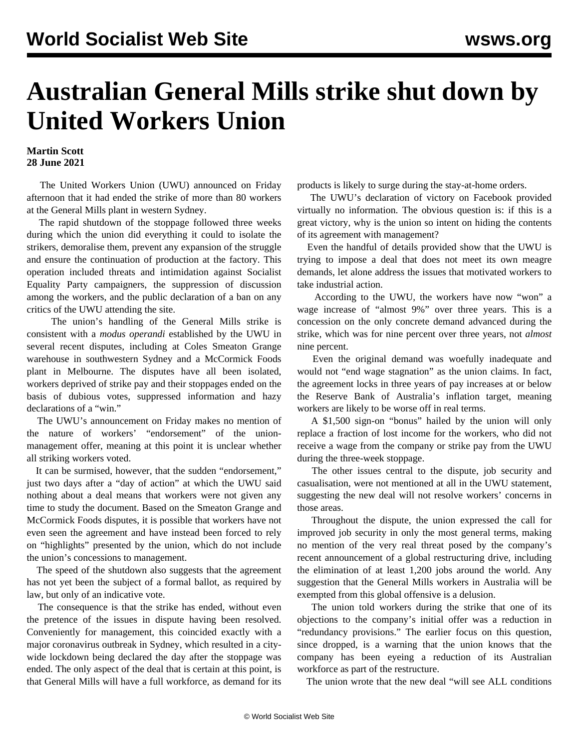## **Australian General Mills strike shut down by United Workers Union**

## **Martin Scott 28 June 2021**

 The United Workers Union (UWU) announced on Friday afternoon that it had ended the strike of more than 80 workers at the General Mills plant in western Sydney.

 The rapid shutdown of the stoppage followed three weeks during which the union did everything it could to isolate the strikers, demoralise them, prevent any expansion of the struggle and ensure the continuation of production at the factory. This operation included threats and intimidation against Socialist Equality Party campaigners, the suppression of discussion among the workers, and the public declaration of a ban on any critics of the UWU attending the site.

 The union's handling of the General Mills strike is consistent with a *modus operandi* established by the UWU in several recent disputes, including at Coles Smeaton Grange warehouse in southwestern Sydney and a McCormick Foods plant in Melbourne. The disputes have all been isolated, workers deprived of strike pay and their stoppages ended on the basis of dubious votes, suppressed information and hazy declarations of a "win."

 The UWU's announcement on Friday makes no mention of the nature of workers' "endorsement" of the unionmanagement offer, meaning at this point it is unclear whether all striking workers voted.

 It can be surmised, however, that the sudden "endorsement," just two days after a "day of action" at which the UWU said nothing about a deal means that workers were not given any time to study the document. Based on the Smeaton Grange and McCormick Foods disputes, it is possible that workers have not even seen the agreement and have instead been forced to rely on "highlights" presented by the union, which do not include the union's concessions to management.

 The speed of the shutdown also suggests that the agreement has not yet been the subject of a formal ballot, as required by law, but only of an indicative vote.

 The consequence is that the strike has ended, without even the pretence of the issues in dispute having been resolved. Conveniently for management, this coincided exactly with a major coronavirus outbreak in Sydney, which resulted in a citywide lockdown being declared the day after the stoppage was ended. The only aspect of the deal that is certain at this point, is that General Mills will have a full workforce, as demand for its products is likely to surge during the stay-at-home orders.

 The UWU's declaration of victory on Facebook provided virtually no information. The obvious question is: if this is a great victory, why is the union so intent on hiding the contents of its agreement with management?

 Even the handful of details provided show that the UWU is trying to impose a deal that does not meet its own meagre demands, let alone address the issues that motivated workers to take industrial action.

 According to the UWU, the workers have now "won" a wage increase of "almost 9%" over three years. This is a concession on the only concrete demand advanced during the strike, which was for nine percent over three years, not *almost* nine percent.

 Even the original demand was woefully inadequate and would not "end wage stagnation" as the union claims. In fact, the agreement locks in three years of pay increases at or below the Reserve Bank of Australia's inflation target, meaning workers are likely to be worse off in real terms.

 A \$1,500 sign-on "bonus" hailed by the union will only replace a fraction of lost income for the workers, who did not receive a wage from the company or strike pay from the UWU during the three-week stoppage.

 The other issues central to the dispute, job security and casualisation, were not mentioned at all in the UWU statement, suggesting the new deal will not resolve workers' concerns in those areas.

 Throughout the dispute, the union expressed the call for improved job security in only the most general terms, making no mention of the very real threat posed by the company's recent announcement of a global restructuring drive, including the elimination of at least 1,200 jobs around the world. Any suggestion that the General Mills workers in Australia will be exempted from this global offensive is a delusion.

 The union told workers during the strike that one of its objections to the company's initial offer was a reduction in "redundancy provisions." The earlier focus on this question, since dropped, is a warning that the union knows that the company has been eyeing a reduction of its Australian workforce as part of the restructure.

The union wrote that the new deal "will see ALL conditions